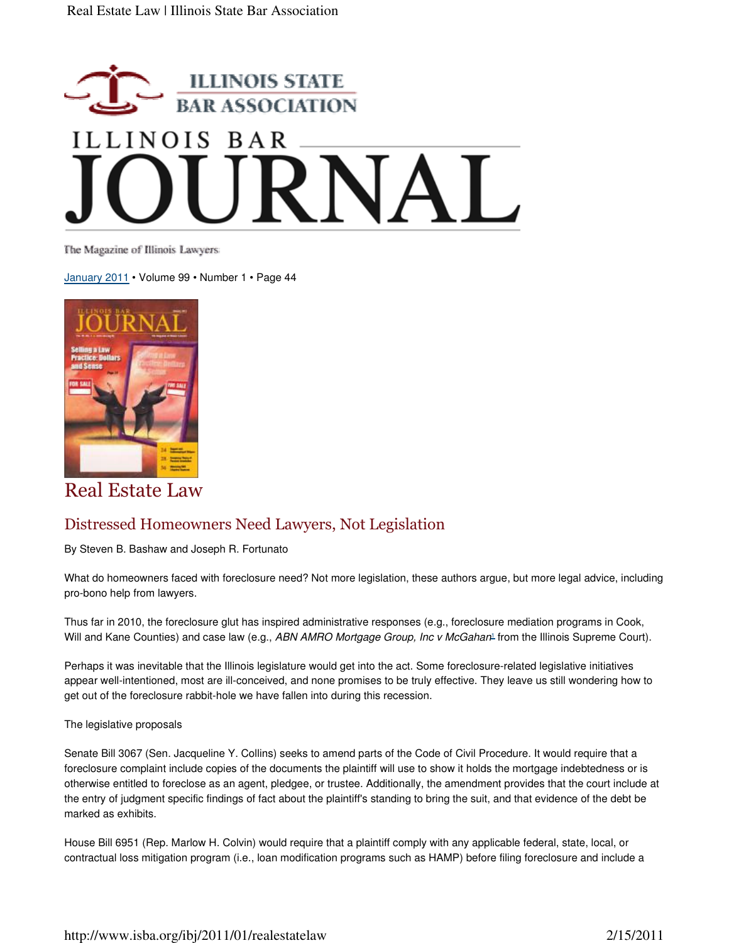

The Magazine of Illinois Lawyers

January 2011 • Volume 99 • Number 1 • Page 44



Real Estate Law

## Distressed Homeowners Need Lawyers, Not Legislation

By Steven B. Bashaw and Joseph R. Fortunato

What do homeowners faced with foreclosure need? Not more legislation, these authors argue, but more legal advice, including pro-bono help from lawyers.

Thus far in 2010, the foreclosure glut has inspired administrative responses (e.g., foreclosure mediation programs in Cook, Will and Kane Counties) and case law (e.g., ABN AMRO Mortgage Group, Inc v McGahan<sup>1</sup> from the Illinois Supreme Court).

Perhaps it was inevitable that the Illinois legislature would get into the act. Some foreclosure-related legislative initiatives appear well-intentioned, most are ill-conceived, and none promises to be truly effective. They leave us still wondering how to get out of the foreclosure rabbit-hole we have fallen into during this recession.

The legislative proposals

Senate Bill 3067 (Sen. Jacqueline Y. Collins) seeks to amend parts of the Code of Civil Procedure. It would require that a foreclosure complaint include copies of the documents the plaintiff will use to show it holds the mortgage indebtedness or is otherwise entitled to foreclose as an agent, pledgee, or trustee. Additionally, the amendment provides that the court include at the entry of judgment specific findings of fact about the plaintiff's standing to bring the suit, and that evidence of the debt be marked as exhibits.

House Bill 6951 (Rep. Marlow H. Colvin) would require that a plaintiff comply with any applicable federal, state, local, or contractual loss mitigation program (i.e., loan modification programs such as HAMP) before filing foreclosure and include a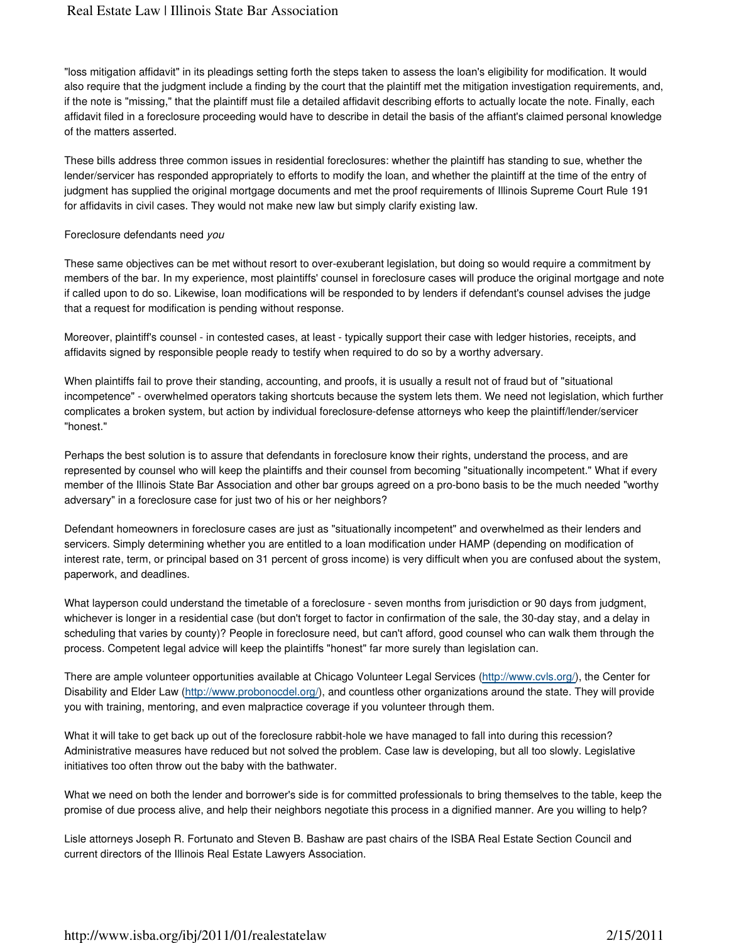"loss mitigation affidavit" in its pleadings setting forth the steps taken to assess the loan's eligibility for modification. It would also require that the judgment include a finding by the court that the plaintiff met the mitigation investigation requirements, and, if the note is "missing," that the plaintiff must file a detailed affidavit describing efforts to actually locate the note. Finally, each affidavit filed in a foreclosure proceeding would have to describe in detail the basis of the affiant's claimed personal knowledge of the matters asserted.

These bills address three common issues in residential foreclosures: whether the plaintiff has standing to sue, whether the lender/servicer has responded appropriately to efforts to modify the loan, and whether the plaintiff at the time of the entry of judgment has supplied the original mortgage documents and met the proof requirements of Illinois Supreme Court Rule 191 for affidavits in civil cases. They would not make new law but simply clarify existing law.

## Foreclosure defendants need you

These same objectives can be met without resort to over-exuberant legislation, but doing so would require a commitment by members of the bar. In my experience, most plaintiffs' counsel in foreclosure cases will produce the original mortgage and note if called upon to do so. Likewise, loan modifications will be responded to by lenders if defendant's counsel advises the judge that a request for modification is pending without response.

Moreover, plaintiff's counsel - in contested cases, at least - typically support their case with ledger histories, receipts, and affidavits signed by responsible people ready to testify when required to do so by a worthy adversary.

When plaintiffs fail to prove their standing, accounting, and proofs, it is usually a result not of fraud but of "situational incompetence" - overwhelmed operators taking shortcuts because the system lets them. We need not legislation, which further complicates a broken system, but action by individual foreclosure-defense attorneys who keep the plaintiff/lender/servicer "honest."

Perhaps the best solution is to assure that defendants in foreclosure know their rights, understand the process, and are represented by counsel who will keep the plaintiffs and their counsel from becoming "situationally incompetent." What if every member of the Illinois State Bar Association and other bar groups agreed on a pro-bono basis to be the much needed "worthy adversary" in a foreclosure case for just two of his or her neighbors?

Defendant homeowners in foreclosure cases are just as "situationally incompetent" and overwhelmed as their lenders and servicers. Simply determining whether you are entitled to a loan modification under HAMP (depending on modification of interest rate, term, or principal based on 31 percent of gross income) is very difficult when you are confused about the system, paperwork, and deadlines.

What layperson could understand the timetable of a foreclosure - seven months from jurisdiction or 90 days from judgment, whichever is longer in a residential case (but don't forget to factor in confirmation of the sale, the 30-day stay, and a delay in scheduling that varies by county)? People in foreclosure need, but can't afford, good counsel who can walk them through the process. Competent legal advice will keep the plaintiffs "honest" far more surely than legislation can.

There are ample volunteer opportunities available at Chicago Volunteer Legal Services (http://www.cvls.org/), the Center for Disability and Elder Law (http://www.probonocdel.org/), and countless other organizations around the state. They will provide you with training, mentoring, and even malpractice coverage if you volunteer through them.

What it will take to get back up out of the foreclosure rabbit-hole we have managed to fall into during this recession? Administrative measures have reduced but not solved the problem. Case law is developing, but all too slowly. Legislative initiatives too often throw out the baby with the bathwater.

What we need on both the lender and borrower's side is for committed professionals to bring themselves to the table, keep the promise of due process alive, and help their neighbors negotiate this process in a dignified manner. Are you willing to help?

Lisle attorneys Joseph R. Fortunato and Steven B. Bashaw are past chairs of the ISBA Real Estate Section Council and current directors of the Illinois Real Estate Lawyers Association.